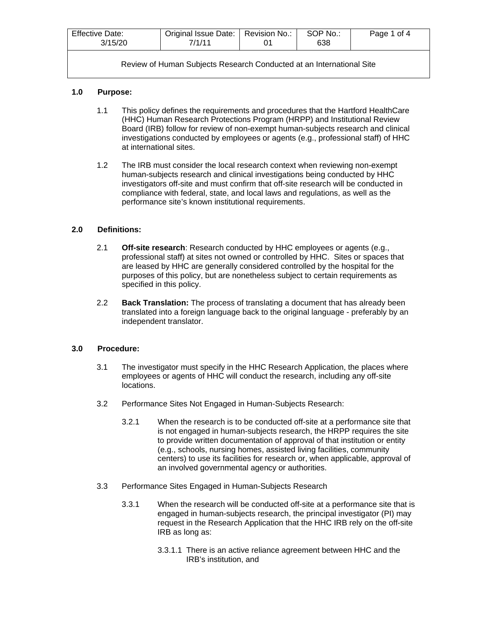| <b>Effective Date:</b><br>3/15/20 | Original Issue Date:   Revision No.:<br>7/1/11 | SOP No.:<br>638 | Page 1 of 4 |
|-----------------------------------|------------------------------------------------|-----------------|-------------|
|                                   |                                                |                 |             |

# **1.0 Purpose:**

- 1.1 This policy defines the requirements and procedures that the Hartford HealthCare (HHC) Human Research Protections Program (HRPP) and Institutional Review Board (IRB) follow for review of non-exempt human-subjects research and clinical investigations conducted by employees or agents (e.g., professional staff) of HHC at international sites.
- 1.2 The IRB must consider the local research context when reviewing non-exempt human-subjects research and clinical investigations being conducted by HHC investigators off-site and must confirm that off-site research will be conducted in compliance with federal, state, and local laws and regulations, as well as the performance site's known institutional requirements.

## **2.0 Definitions:**

- 2.1 **Off-site research**: Research conducted by HHC employees or agents (e.g., professional staff) at sites not owned or controlled by HHC. Sites or spaces that are leased by HHC are generally considered controlled by the hospital for the purposes of this policy, but are nonetheless subject to certain requirements as specified in this policy.
- 2.2 **Back Translation:** The process of translating a document that has already been translated into a foreign language back to the original language - preferably by an independent translator.

## **3.0 Procedure:**

- 3.1 The investigator must specify in the HHC Research Application, the places where employees or agents of HHC will conduct the research, including any off-site locations.
- 3.2 Performance Sites Not Engaged in Human-Subjects Research:
	- 3.2.1 When the research is to be conducted off-site at a performance site that is not engaged in human-subjects research, the HRPP requires the site to provide written documentation of approval of that institution or entity (e.g., schools, nursing homes, assisted living facilities, community centers) to use its facilities for research or, when applicable, approval of an involved governmental agency or authorities.
- 3.3 Performance Sites Engaged in Human-Subjects Research
	- 3.3.1 When the research will be conducted off-site at a performance site that is engaged in human-subjects research, the principal investigator (PI) may request in the Research Application that the HHC IRB rely on the off-site IRB as long as:
		- 3.3.1.1 There is an active reliance agreement between HHC and the IRB's institution, and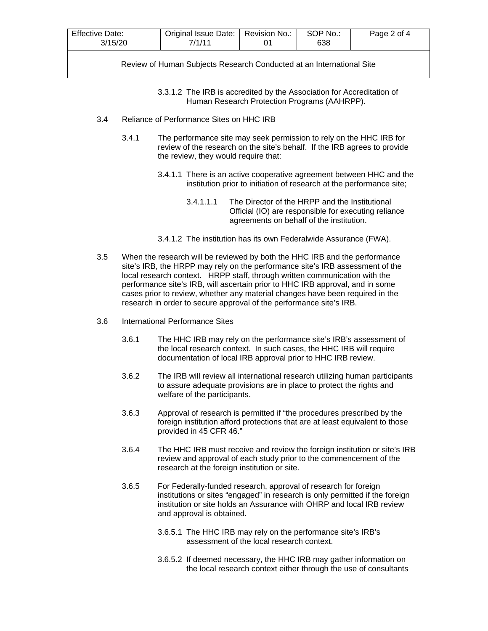| <b>Effective Date:</b><br>3/15/20 | Original Issue Date:   Revision No.:<br>7/1/11 | SOP No.:<br>638 | Page 2 of 4 |
|-----------------------------------|------------------------------------------------|-----------------|-------------|
|                                   |                                                |                 |             |

3.3.1.2 The IRB is accredited by the Association for Accreditation of Human Research Protection Programs (AAHRPP).

- 3.4 Reliance of Performance Sites on HHC IRB
	- 3.4.1 The performance site may seek permission to rely on the HHC IRB for review of the research on the site's behalf. If the IRB agrees to provide the review, they would require that:
		- 3.4.1.1 There is an active cooperative agreement between HHC and the institution prior to initiation of research at the performance site;
			- 3.4.1.1.1 The Director of the HRPP and the Institutional Official (IO) are responsible for executing reliance agreements on behalf of the institution.
		- 3.4.1.2 The institution has its own Federalwide Assurance (FWA).
- 3.5 When the research will be reviewed by both the HHC IRB and the performance site's IRB, the HRPP may rely on the performance site's IRB assessment of the local research context. HRPP staff, through written communication with the performance site's IRB, will ascertain prior to HHC IRB approval, and in some cases prior to review, whether any material changes have been required in the research in order to secure approval of the performance site's IRB.
- 3.6 International Performance Sites
	- 3.6.1 The HHC IRB may rely on the performance site's IRB's assessment of the local research context. In such cases, the HHC IRB will require documentation of local IRB approval prior to HHC IRB review.
	- 3.6.2 The IRB will review all international research utilizing human participants to assure adequate provisions are in place to protect the rights and welfare of the participants.
	- 3.6.3 Approval of research is permitted if "the procedures prescribed by the foreign institution afford protections that are at least equivalent to those provided in 45 CFR 46."
	- 3.6.4 The HHC IRB must receive and review the foreign institution or site's IRB review and approval of each study prior to the commencement of the research at the foreign institution or site.
	- 3.6.5 For Federally-funded research, approval of research for foreign institutions or sites "engaged" in research is only permitted if the foreign institution or site holds an Assurance with OHRP and local IRB review and approval is obtained.
		- 3.6.5.1 The HHC IRB may rely on the performance site's IRB's assessment of the local research context.
		- 3.6.5.2 If deemed necessary, the HHC IRB may gather information on the local research context either through the use of consultants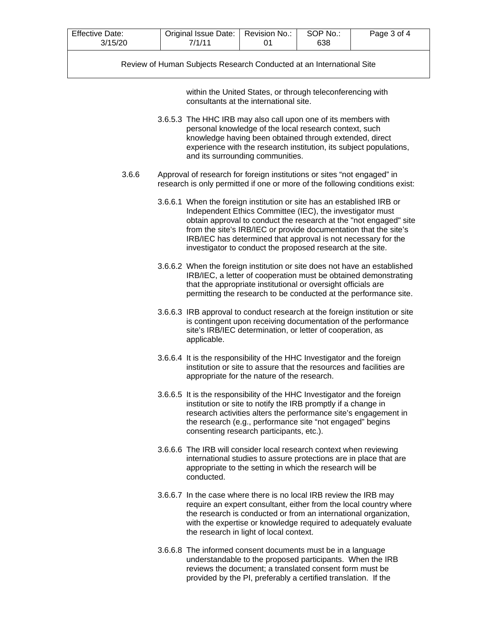| <b>Effective Date:</b><br>3/15/20 | Original Issue Date:  <br>7/1/11 | Revision No.: | SOP No.:<br>638 | Page 3 of 4 |  |
|-----------------------------------|----------------------------------|---------------|-----------------|-------------|--|
|                                   |                                  |               |                 |             |  |

within the United States, or through teleconferencing with consultants at the international site.

- 3.6.5.3 The HHC IRB may also call upon one of its members with personal knowledge of the local research context, such knowledge having been obtained through extended, direct experience with the research institution, its subject populations, and its surrounding communities.
- 3.6.6 Approval of research for foreign institutions or sites "not engaged" in research is only permitted if one or more of the following conditions exist:
	- 3.6.6.1 When the foreign institution or site has an established IRB or Independent Ethics Committee (IEC), the investigator must obtain approval to conduct the research at the "not engaged" site from the site's IRB/IEC or provide documentation that the site's IRB/IEC has determined that approval is not necessary for the investigator to conduct the proposed research at the site.
	- 3.6.6.2 When the foreign institution or site does not have an established IRB/IEC, a letter of cooperation must be obtained demonstrating that the appropriate institutional or oversight officials are permitting the research to be conducted at the performance site.
	- 3.6.6.3 IRB approval to conduct research at the foreign institution or site is contingent upon receiving documentation of the performance site's IRB/IEC determination, or letter of cooperation, as applicable.
	- 3.6.6.4 It is the responsibility of the HHC Investigator and the foreign institution or site to assure that the resources and facilities are appropriate for the nature of the research.
	- 3.6.6.5 It is the responsibility of the HHC Investigator and the foreign institution or site to notify the IRB promptly if a change in research activities alters the performance site's engagement in the research (e.g., performance site "not engaged" begins consenting research participants, etc.).
	- 3.6.6.6 The IRB will consider local research context when reviewing international studies to assure protections are in place that are appropriate to the setting in which the research will be conducted.
	- 3.6.6.7 In the case where there is no local IRB review the IRB may require an expert consultant, either from the local country where the research is conducted or from an international organization, with the expertise or knowledge required to adequately evaluate the research in light of local context.
	- 3.6.6.8 The informed consent documents must be in a language understandable to the proposed participants. When the IRB reviews the document; a translated consent form must be provided by the PI, preferably a certified translation. If the